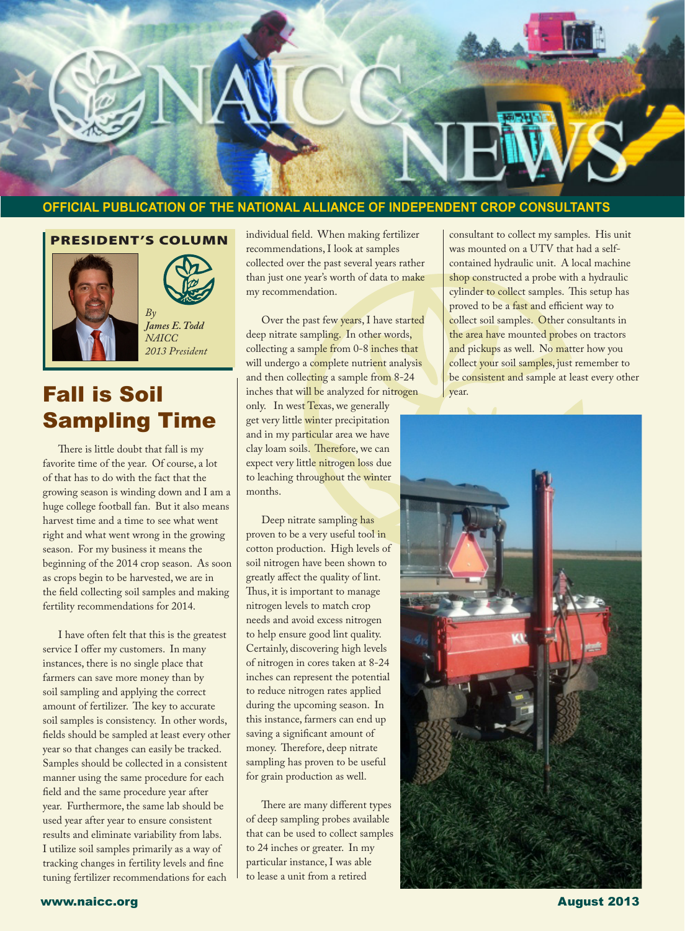

#### **OFFICIAL PUBLICATION OF THE NATIONAL ALLIANCE OF INDEPENDENT CROP CONSULTANTS**

#### PRESIDENT'S COLUMN



Ī



*James E. Todd NAICC 2013 President*

## Fall is Soil and the malyzed for nitrogen vector. Sampling Time

There is little doubt that fall is my favorite time of the year. Of course, a lot of that has to do with the fact that the growing season is winding down and I am a huge college football fan. But it also means harvest time and a time to see what went right and what went wrong in the growing season. For my business it means the beginning of the 2014 crop season. As soon as crops begin to be harvested, we are in the field collecting soil samples and making fertility recommendations for 2014.

I have often felt that this is the greatest service I offer my customers. In many instances, there is no single place that farmers can save more money than by soil sampling and applying the correct amount of fertilizer. The key to accurate soil samples is consistency. In other words, fields should be sampled at least every other year so that changes can easily be tracked. Samples should be collected in a consistent manner using the same procedure for each field and the same procedure year after year. Furthermore, the same lab should be used year after year to ensure consistent results and eliminate variability from labs. I utilize soil samples primarily as a way of tracking changes in fertility levels and fine tuning fertilizer recommendations for each

individual field. When making fertilizer recommendations, I look at samples collected over the past several years rather than just one year's worth of data to make my recommendation.

Over the past few years, I have started deep nitrate sampling. In other words, collecting a sample from 0-8 inches that will undergo a complete nutrient analysis and then collecting a sample from 8-24 only. In west Texas, we generally get very little winter precipitation and in my particular area we have clay loam soils. Therefore, we can expect very little nitrogen loss due to leaching throughout the winter months.

Deep nitrate sampling has proven to be a very useful tool in cotton production. High levels of soil nitrogen have been shown to greatly affect the quality of lint. Thus, it is important to manage nitrogen levels to match crop needs and avoid excess nitrogen to help ensure good lint quality. Certainly, discovering high levels of nitrogen in cores taken at 8-24 inches can represent the potential to reduce nitrogen rates applied during the upcoming season. In this instance, farmers can end up saving a significant amount of money. Therefore, deep nitrate sampling has proven to be useful for grain production as well.

There are many different types of deep sampling probes available that can be used to collect samples to 24 inches or greater. In my particular instance, I was able to lease a unit from a retired

consultant to collect my samples. His unit was mounted on a UTV that had a selfcontained hydraulic unit. A local machine shop constructed a probe with a hydraulic cylinder to collect samples. This setup has proved to be a fast and efficient way to collect soil samples. Other consultants in the area have mounted probes on tractors and pickups as well. No matter how you collect your soil samples, just remember to be consistent and sample at least every other

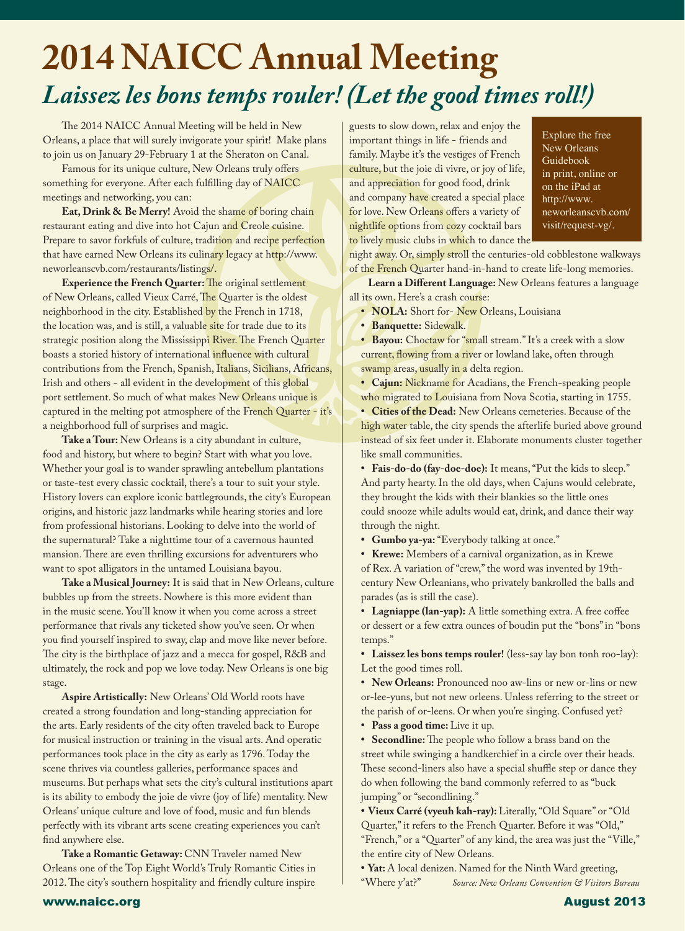# **2014 NAICC Annual Meeting** *Laissez les bons temps rouler! (Let the good times roll!)*

The 2014 NAICC Annual Meeting will be held in New Orleans, a place that will surely invigorate your spirit! Make plans to join us on January 29-February 1 at the Sheraton on Canal.

Famous for its unique culture, New Orleans truly offers something for everyone. After each fulfilling day of NAICC meetings and networking, you can:

**Eat, Drink & Be Merry!** Avoid the shame of boring chain restaurant eating and dive into hot Cajun and Creole cuisine. Prepare to savor forkfuls of culture, tradition and recipe perfection that have earned New Orleans its culinary legacy at http://www. neworleanscvb.com/restaurants/listings/.

**Experience the French Quarter:** The original settlement of New Orleans, called Vieux Carré, The Quarter is the oldest neighborhood in the city. Established by the French in 1718, the location was, and is still, a valuable site for trade due to its strategic position along the Mississippi River. The French Quarter boasts a storied history of international influence with cultural contributions from the French, Spanish, Italians, Sicilians, Africans, Irish and others - all evident in the development of this global port settlement. So much of what makes New Orleans unique is captured in the melting pot atmosphere of the French Quarter - it's a neighborhood full of surprises and magic.

**Take a Tour:** New Orleans is a city abundant in culture, food and history, but where to begin? Start with what you love. Whether your goal is to wander sprawling antebellum plantations or taste-test every classic cocktail, there's a tour to suit your style. History lovers can explore iconic battlegrounds, the city's European origins, and historic jazz landmarks while hearing stories and lore from professional historians. Looking to delve into the world of the supernatural? Take a nighttime tour of a cavernous haunted mansion. There are even thrilling excursions for adventurers who want to spot alligators in the untamed Louisiana bayou.

**Take a Musical Journey:** It is said that in New Orleans, culture bubbles up from the streets. Nowhere is this more evident than in the music scene. You'll know it when you come across a street performance that rivals any ticketed show you've seen. Or when you find yourself inspired to sway, clap and move like never before. The city is the birthplace of jazz and a mecca for gospel, R&B and ultimately, the rock and pop we love today. New Orleans is one big stage.

**Aspire Artistically:** New Orleans' Old World roots have created a strong foundation and long-standing appreciation for the arts. Early residents of the city often traveled back to Europe for musical instruction or training in the visual arts. And operatic performances took place in the city as early as 1796. Today the scene thrives via countless galleries, performance spaces and museums. But perhaps what sets the city's cultural institutions apart is its ability to embody the joie de vivre (joy of life) mentality. New Orleans' unique culture and love of food, music and fun blends perfectly with its vibrant arts scene creating experiences you can't find anywhere else.

**Take a Romantic Getaway:** CNN Traveler named New Orleans one of the Top Eight World's Truly Romantic Cities in 2012. The city's southern hospitality and friendly culture inspire

guests to slow down, relax and enjoy the important things in life - friends and family. Maybe it's the vestiges of French culture, but the joie di vivre, or joy of life, and appreciation for good food, drink and company have created a special place for love. New Orleans offers a variety of nightlife options from cozy cocktail bars to lively music clubs in which to dance the

Explore the free New Orleans Guidebook in print, online or on the iPad at http://www. neworleanscvb.com/ visit/request-vg/.

night away. Or, simply stroll the centuries-old cobblestone walkways of the French Quarter hand-in-hand to create life-long memories.

**Learn a Different Language:** New Orleans features a language all its own. Here's a crash course:

**• NOLA:** Short for- New Orleans, Louisiana

**• Banquette:** Sidewalk.

**• Bayou:** Choctaw for "small stream." It's a creek with a slow current, flowing from a river or lowland lake, often through swamp areas, usually in a delta region.

**• Cajun:** Nickname for Acadians, the French-speaking people who migrated to Louisiana from Nova Scotia, starting in 1755.

**• Cities of the Dead:** New Orleans cemeteries. Because of the high water table, the city spends the afterlife buried above ground instead of six feet under it. Elaborate monuments cluster together like small communities.

**• Fais-do-do (fay-doe-doe):** It means, "Put the kids to sleep." And party hearty. In the old days, when Cajuns would celebrate, they brought the kids with their blankies so the little ones could snooze while adults would eat, drink, and dance their way through the night.

**• Gumbo ya-ya:** "Everybody talking at once."

**• Krewe:** Members of a carnival organization, as in Krewe of Rex. A variation of "crew," the word was invented by 19thcentury New Orleanians, who privately bankrolled the balls and parades (as is still the case).

**• Lagniappe (lan-yap):** A little something extra. A free coffee or dessert or a few extra ounces of boudin put the "bons" in "bons temps."

**• Laissez les bons temps rouler!** (less-say lay bon tonh roo-lay): Let the good times roll.

**• New Orleans:** Pronounced noo aw-lins or new or-lins or new or-lee-yuns, but not new orleens. Unless referring to the street or the parish of or-leens. Or when you're singing. Confused yet?

**• Pass a good time:** Live it up.

**• Secondline:** The people who follow a brass band on the street while swinging a handkerchief in a circle over their heads. These second-liners also have a special shuffle step or dance they do when following the band commonly referred to as "buck jumping" or "secondlining."

**• Vieux Carré (vyeuh kah-ray):** Literally, "Old Square" or "Old Quarter," it refers to the French Quarter. Before it was "Old," "French," or a "Quarter" of any kind, the area was just the "Ville," the entire city of New Orleans.

**•** Yat: A local denizen. Named for the Ninth Ward greeting, "Where y'at?" Source: New Orleans Convention & Visitors B  $Source: New Orleans Convention & Visitors Bureau$ 

#### www.naicc.org August 2013 - August 2013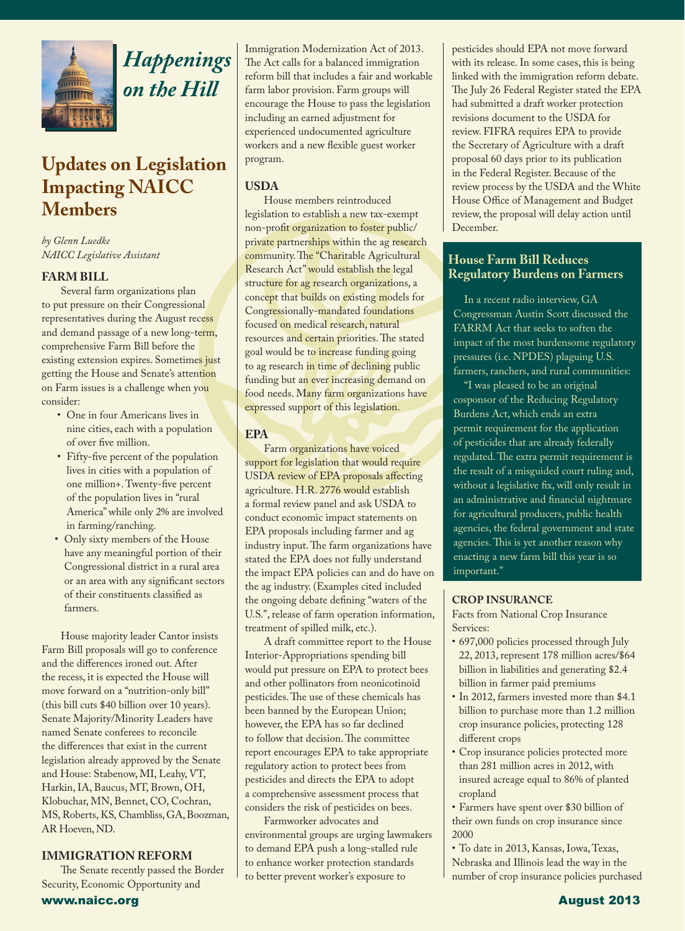

Ī

## *Happenings on the Hill*

## **Updates on Legislation Impacting NAICC Members**

*by Glenn Luedke NAICC Legislative Assistant*

#### **FARM BILL**

Several farm organizations plan to put pressure on their Congressional representatives during the August recess and demand passage of a new long-term, comprehensive Farm Bill before the existing extension expires. Sometimes just getting the House and Senate's attention on Farm issues is a challenge when you consider:

- One in four Americans lives in nine cities, each with a population of over five million.
- Fifty-five percent of the population lives in cities with a population of one million+. Twenty-five percent of the population lives in "rural America" while only 2% are involved in farming/ranching.
- Only sixty members of the House have any meaningful portion of their Congressional district in a rural area or an area with any significant sectors of their constituents classified as farmers.

House majority leader Cantor insists Farm Bill proposals will go to conference and the differences ironed out. After the recess, it is expected the House will move forward on a "nutrition-only bill" (this bill cuts \$40 billion over 10 years). Senate Majority/Minority Leaders have named Senate conferees to reconcile the differences that exist in the current legislation already approved by the Senate and House: Stabenow, MI, Leahy, VT, Harkin, IA, Baucus, MT, Brown, OH, Klobuchar, MN, Bennet, CO, Cochran, MS, Roberts, KS, Chambliss, GA, Boozman, AR Hoeven, ND.

#### **IMMIGRATION REFORM**

www.naicc.org August 2013 The Senate recently passed the Border Security, Economic Opportunity and

Immigration Modernization Act of 2013. The Act calls for a balanced immigration reform bill that includes a fair and workable farm labor provision. Farm groups will encourage the House to pass the legislation including an earned adjustment for experienced undocumented agriculture workers and a new flexible guest worker program.

#### **USDA**

House members reintroduced legislation to establish a new tax-exempt non-profit organization to foster public/ private partnerships within the ag research community. The "Charitable Agricultural Research Act" would establish the legal structure for ag research organizations, a concept that builds on existing models for Congressionally-mandated foundations focused on medical research, natural resources and certain priorities. The stated goal would be to increase funding going to ag research in time of declining public funding but an ever increasing demand on food needs. Many farm organizations have expressed support of this legislation.

#### **EPA**

Farm organizations have voiced support for legislation that would require USDA review of EPA proposals affecting agriculture. H.R. 2776 would establish a formal review panel and ask USDA to conduct economic impact statements on EPA proposals including farmer and ag industry input. The farm organizations have stated the EPA does not fully understand the impact EPA policies can and do have on the ag industry. (Examples cited included the ongoing debate defining "waters of the U.S.", release of farm operation information, treatment of spilled milk, etc.).

A draft committee report to the House Interior-Appropriations spending bill would put pressure on EPA to protect bees and other pollinators from neonicotinoid pesticides. The use of these chemicals has been banned by the European Union; however, the EPA has so far declined to follow that decision. The committee report encourages EPA to take appropriate regulatory action to protect bees from pesticides and directs the EPA to adopt a comprehensive assessment process that considers the risk of pesticides on bees.

Farmworker advocates and environmental groups are urging lawmakers to demand EPA push a long-stalled rule to enhance worker protection standards to better prevent worker's exposure to

pesticides should EPA not move forward with its release. In some cases, this is being linked with the immigration reform debate. The July 26 Federal Register stated the EPA had submitted a draft worker protection revisions document to the USDA for review. FIFRA requires EPA to provide the Secretary of Agriculture with a draft proposal 60 days prior to its publication in the Federal Register. Because of the review process by the USDA and the White House Office of Management and Budget review, the proposal will delay action until December.

#### **House Farm Bill Reduces Regulatory Burdens on Farmers**

In a recent radio interview, GA Congressman Austin Scott discussed the FARRM Act that seeks to soften the impact of the most burdensome regulatory pressures (i.e. NPDES) plaguing U.S. farmers, ranchers, and rural communities:

"I was pleased to be an original cosponsor of the Reducing Regulatory Burdens Act, which ends an extra permit requirement for the application of pesticides that are already federally regulated. The extra permit requirement is the result of a misguided court ruling and, without a legislative fix, will only result in an administrative and financial nightmare for agricultural producers, public health agencies, the federal government and state agencies. This is yet another reason why enacting a new farm bill this year is so important."

#### **CROP INSURANCE**

Facts from National Crop Insurance Services:

- 697,000 policies processed through July 22, 2013, represent 178 million acres/\$64 billion in liabilities and generating \$2.4 billion in farmer paid premiums
- In 2012, farmers invested more than \$4.1 billion to purchase more than 1.2 million crop insurance policies, protecting 128 different crops
- Crop insurance policies protected more than 281 million acres in 2012, with insured acreage equal to 86% of planted cropland
- Farmers have spent over \$30 billion of their own funds on crop insurance since 2000

• To date in 2013, Kansas, Iowa, Texas, Nebraska and Illinois lead the way in the number of crop insurance policies purchased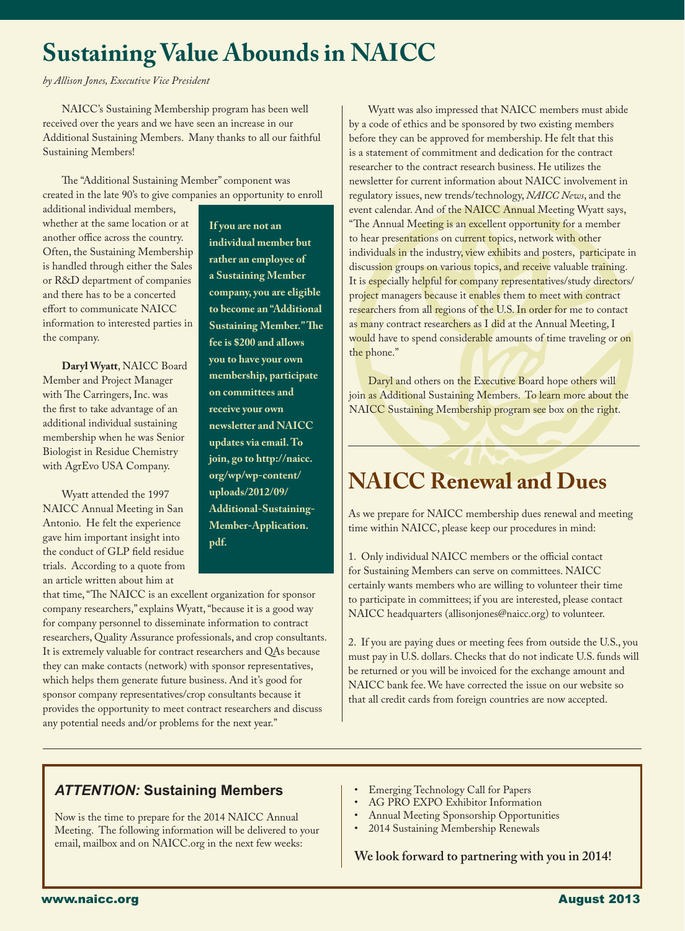## **Sustaining Value Abounds in NAICC**

*by Allison Jones, Executive Vice President*

l

NAICC's Sustaining Membership program has been well received over the years and we have seen an increase in our Additional Sustaining Members. Many thanks to all our faithful Sustaining Members!

The "Additional Sustaining Member" component was created in the late 90's to give companies an opportunity to enroll

additional individual members, whether at the same location or at another office across the country. Often, the Sustaining Membership is handled through either the Sales or R&D department of companies and there has to be a concerted effort to communicate NAICC information to interested parties in the company.

**Daryl Wyatt**, NAICC Board Member and Project Manager with The Carringers, Inc. was the first to take advantage of an additional individual sustaining membership when he was Senior Biologist in Residue Chemistry with AgrEvo USA Company.

Wyatt attended the 1997 NAICC Annual Meeting in San Antonio. He felt the experience gave him important insight into the conduct of GLP field residue trials. According to a quote from an article written about him at

**If you are not an individual member but rather an employee of a Sustaining Member company, you are eligible to become an "Additional Sustaining Member." The fee is \$200 and allows you to have your own membership, participate on committees and receive your own newsletter and NAICC updates via email. To join, go to http://naicc. org/wp/wp-content/ uploads/2012/09/ Additional-Sustaining-Member-Application. pdf.** 

that time, "The NAICC is an excellent organization for sponsor company researchers," explains Wyatt, "because it is a good way for company personnel to disseminate information to contract researchers, Quality Assurance professionals, and crop consultants. It is extremely valuable for contract researchers and QAs because they can make contacts (network) with sponsor representatives, which helps them generate future business. And it's good for sponsor company representatives/crop consultants because it provides the opportunity to meet contract researchers and discuss any potential needs and/or problems for the next year."

Wyatt was also impressed that NAICC members must abide by a code of ethics and be sponsored by two existing members before they can be approved for membership. He felt that this is a statement of commitment and dedication for the contract researcher to the contract research business. He utilizes the newsletter for current information about NAICC involvement in regulatory issues, new trends/technology, *NAICC News*, and the event calendar. And of the NAICC Annual Meeting Wyatt says, "The Annual Meeting is an excellent opportunity for a member to hear presentations on current topics, network with other individuals in the industry, view exhibits and posters, participate in discussion groups on various topics, and receive valuable training. It is especially helpful for company representatives/study directors/ project managers because it enables them to meet with contract researchers from all regions of the U.S. In order for me to contact as many contract researchers as I did at the Annual Meeting, I would have to spend considerable amounts of time traveling or on the phone."

Daryl and others on the Executive Board hope others will join as Additional Sustaining Members. To learn more about the NAICC Sustaining Membership program see box on the right.

## **NAICC Renewal and Dues**

As we prepare for NAICC membership dues renewal and meeting time within NAICC, please keep our procedures in mind:

1. Only individual NAICC members or the official contact for Sustaining Members can serve on committees. NAICC certainly wants members who are willing to volunteer their time to participate in committees; if you are interested, please contact NAICC headquarters (allisonjones@naicc.org) to volunteer.

2. If you are paying dues or meeting fees from outside the U.S., you must pay in U.S. dollars. Checks that do not indicate U.S. funds will be returned or you will be invoiced for the exchange amount and NAICC bank fee. We have corrected the issue on our website so that all credit cards from foreign countries are now accepted.

#### *ATTENTION:* **Sustaining Members**

Now is the time to prepare for the 2014 NAICC Annual Meeting. The following information will be delivered to your email, mailbox and on NAICC.org in the next few weeks:

- Emerging Technology Call for Papers
- AG PRO EXPO Exhibitor Information
- Annual Meeting Sponsorship Opportunities
- 2014 Sustaining Membership Renewals

**We look forward to partnering with you in 2014!**